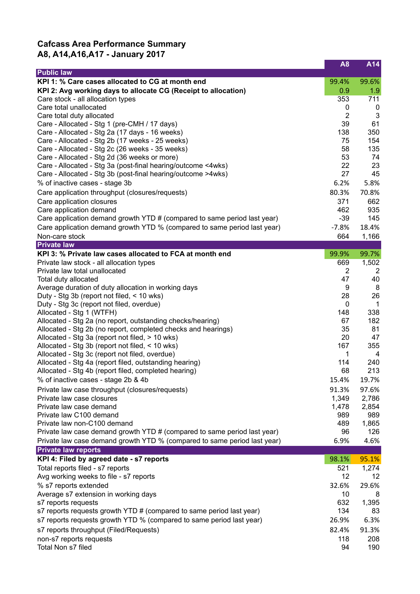## **Cafcass Area Performance Summary A8, A14,A16,A17 - January 2017**

|                                                                                                   | A <sub>8</sub>    | A14            |
|---------------------------------------------------------------------------------------------------|-------------------|----------------|
| <b>Public law</b>                                                                                 |                   |                |
| KPI 1: % Care cases allocated to CG at month end                                                  | 99.4%             | 99.6%          |
| KPI 2: Avg working days to allocate CG (Receipt to allocation)                                    | 0.9               | 1.9            |
| Care stock - all allocation types<br>Care total unallocated                                       | 353<br>0          | 711<br>0       |
| Care total duty allocated                                                                         | $\overline{2}$    | 3              |
| Care - Allocated - Stg 1 (pre-CMH / 17 days)                                                      | 39                | 61             |
| Care - Allocated - Stg 2a (17 days - 16 weeks)                                                    | 138               | 350            |
| Care - Allocated - Stg 2b (17 weeks - 25 weeks)                                                   | 75                | 154            |
| Care - Allocated - Stg 2c (26 weeks - 35 weeks)                                                   | 58                | 135            |
| Care - Allocated - Stg 2d (36 weeks or more)                                                      | 53                | 74             |
| Care - Allocated - Stg 3a (post-final hearing/outcome <4wks)                                      | 22                | 23             |
| Care - Allocated - Stg 3b (post-final hearing/outcome >4wks)                                      | 27                | 45             |
| % of inactive cases - stage 3b                                                                    | 6.2%              | 5.8%           |
| Care application throughput (closures/requests)                                                   | 80.3%             | 70.8%          |
| Care application closures                                                                         | 371               | 662            |
| Care application demand                                                                           | 462               | 935            |
| Care application demand growth YTD # (compared to same period last year)                          | $-39$             | 145            |
| Care application demand growth YTD % (compared to same period last year)                          | $-7.8%$           | 18.4%          |
| Non-care stock                                                                                    | 664               | 1,166          |
| <b>Private law</b><br>KPI 3: % Private law cases allocated to FCA at month end                    | 99.9%             | 99.7%          |
| Private law stock - all allocation types                                                          | 669               | 1,502          |
| Private law total unallocated                                                                     | $\overline{2}$    | $\overline{2}$ |
| Total duty allocated                                                                              | 47                | 40             |
| Average duration of duty allocation in working days                                               | 9                 | 8              |
| Duty - Stg 3b (report not filed, < 10 wks)                                                        | 28                | 26             |
| Duty - Stg 3c (report not filed, overdue)                                                         | 0                 | $\mathbf{1}$   |
| Allocated - Stg 1 (WTFH)                                                                          | 148               | 338            |
| Allocated - Stg 2a (no report, outstanding checks/hearing)                                        | 67                | 182            |
| Allocated - Stg 2b (no report, completed checks and hearings)                                     | 35                | 81             |
| Allocated - Stg 3a (report not filed, > 10 wks)                                                   | 20                | 47             |
| Allocated - Stg 3b (report not filed, < 10 wks)<br>Allocated - Stg 3c (report not filed, overdue) | 167<br>1          | 355<br>4       |
| Allocated - Stg 4a (report filed, outstanding hearing)                                            | 114               | 240            |
| Allocated - Stg 4b (report filed, completed hearing)                                              | 68                | 213            |
| % of inactive cases - stage 2b & 4b                                                               | 15.4%             | 19.7%          |
| Private law case throughput (closures/requests)                                                   | 91.3%             | 97.6%          |
| Private law case closures                                                                         | 1,349             | 2,786          |
| Private law case demand                                                                           | 1,478             | 2,854          |
| Private law C100 demand                                                                           | 989               | 989            |
| Private law non-C100 demand                                                                       | 489               | 1,865          |
| Private law case demand growth YTD # (compared to same period last year)                          | 96                | 126            |
| Private law case demand growth YTD % (compared to same period last year)                          | 6.9%              | 4.6%           |
| <b>Private law reports</b>                                                                        |                   |                |
| KPI 4: Filed by agreed date - s7 reports                                                          | 98.1%             | 95.1%          |
| Total reports filed - s7 reports                                                                  | 521               | 1,274          |
| Avg working weeks to file - s7 reports                                                            | $12 \overline{ }$ | 12             |
| % s7 reports extended                                                                             | 32.6%             | 29.6%          |
| Average s7 extension in working days                                                              | 10<br>632         | 8<br>1,395     |
| s7 reports requests<br>s7 reports requests growth YTD # (compared to same period last year)       | 134               | 83             |
| s7 reports requests growth YTD % (compared to same period last year)                              | 26.9%             | 6.3%           |
| s7 reports throughput (Filed/Requests)                                                            | 82.4%             | 91.3%          |
| non-s7 reports requests                                                                           | 118               | 208            |
| Total Non s7 filed                                                                                | 94                | 190            |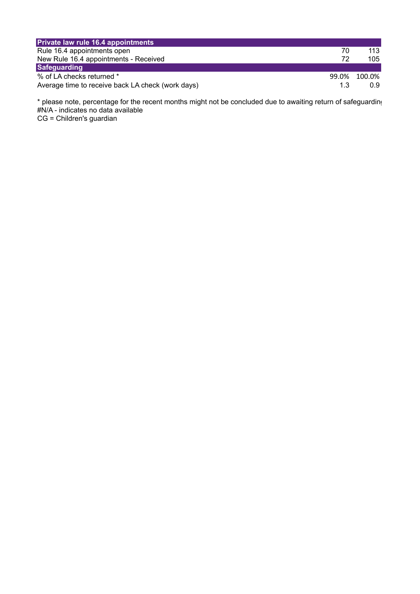| Private law rule 16.4 appointments                |       |        |
|---------------------------------------------------|-------|--------|
| Rule 16.4 appointments open                       | 70    | 113    |
| New Rule 16.4 appointments - Received             | 72    | 105    |
| Safeguarding                                      |       |        |
| % of LA checks returned *                         | 99.0% | 100.0% |
| Average time to receive back LA check (work days) | 1.3   | 0.9    |

 $^*$  please note, percentage for the recent months might not be concluded due to awaiting return of safeguarding #N/A - indicates no data available CG = Children's guardian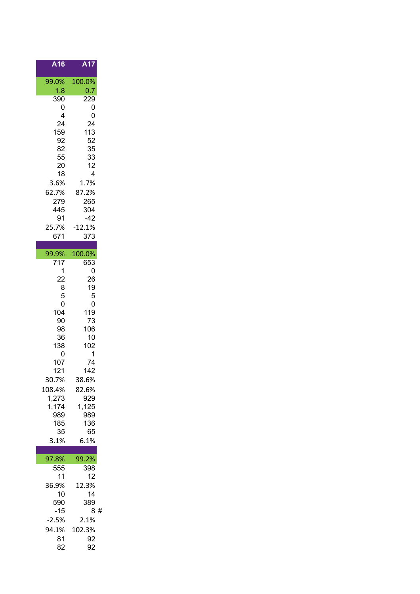| $\overline{A16}$ | A17          |
|------------------|--------------|
| 99.0%            | 100.0%       |
| 1.8              | 0.7          |
| 390<br>0         | 229<br>0     |
| 4                | 0            |
| 24               | 24           |
| 159              | 113          |
| 92               | 52           |
| 82<br>55         | 35<br>33     |
| 20               | 12           |
| 18               | 4            |
| 3.6%             | 1.7%         |
| 62.7%            | 87.2%        |
| 279<br>445       | 265<br>304   |
| 91               | $-42$        |
| 25.7%            | $-12.1%$     |
| 671              | 373          |
| 99.9%            | 100.0%       |
| $\overline{7}17$ | 653          |
| 1                | 0            |
| 22<br>8          | 26<br>19     |
| 5                | 5            |
| 0                | 0            |
| 104              | 119<br>73    |
| 90<br>98         | 106          |
| 36               | 10           |
| 138              | 102          |
| 0<br>107         | 1<br>74      |
| 121              | 142          |
| 30.7%            | 38.6%        |
| 108.4%           | 82.6%        |
| 1,273            | 929          |
| 1,174<br>989     | 1,125<br>989 |
| 185              | 136          |
| 35               | 65           |
| 3.1%             | 6.1%         |
| 97.8%            | 99.2%        |
| 555              | 398          |
| 11               | 12           |
| 36.9%<br>10      | 12.3%<br>14  |
| 590              | 389          |
| $-15$            | 8<br>#       |
| $-2.5%$          | 2.1%         |
| 94.1%            | 102.3%       |
| 81               | 92           |